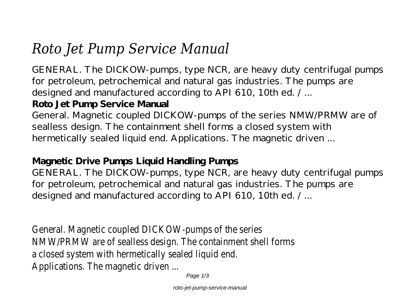# *Roto Jet Pump Service Manual*

GENERAL. The DICKOW-pumps, type NCR, are heavy duty centrifugal pumps for petroleum, petrochemical and natural gas industries. The pumps are designed and manufactured according to API 610, 10th ed. / ...

## **Roto Jet Pump Service Manual**

General. Magnetic coupled DICKOW-pumps of the series NMW/PRMW are of sealless design. The containment shell forms a closed system with hermetically sealed liquid end. Applications. The magnetic driven ...

### **Magnetic Drive Pumps Liquid Handling Pumps**

GENERAL. The DICKOW-pumps, type NCR, are heavy duty centrifugal pumps for petroleum, petrochemical and natural gas industries. The pumps are designed and manufactured according to API 610, 10th ed. / ...

General. Magnetic coupled DICK NMW/PRMW are of sealless design. a closed system with hermet Applications. The ma

Page  $1/3$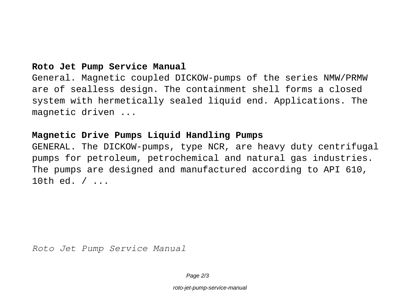#### **Roto Jet Pump Service Manual**

General. Magnetic coupled DICKOW-pumps of the series NMW/PRMW are of sealless design. The containment shell forms a closed system with hermetically sealed liquid end. Applications. The magnetic driven ...

#### **Magnetic Drive Pumps Liquid Handling Pumps**

GENERAL. The DICKOW-pumps, type NCR, are heavy duty centrifugal pumps for petroleum, petrochemical and natural gas industries. The pumps are designed and manufactured according to API 610, 10th ed. / ...

*Roto Jet Pump Service Manual*

Page  $2/3$ 

roto-jet-pump-service-manual